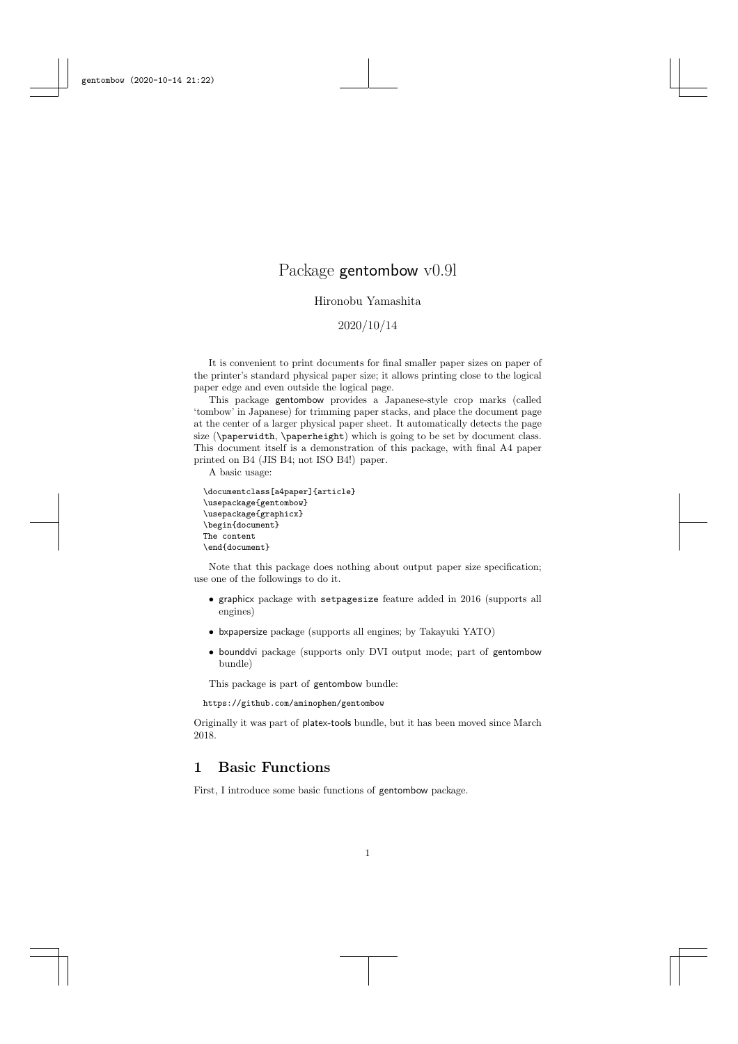# Package gentombow v0.9l

## Hironobu Yamashita

2020/10/14

It is convenient to print documents for final smaller paper sizes on paper of the printer's standard physical paper size; it allows printing close to the logical paper edge and even outside the logical page.

This package gentombow provides a Japanese-style crop marks (called 'tombow' in Japanese) for trimming paper stacks, and place the document page at the center of a larger physical paper sheet. It automatically detects the page size (\paperwidth, \paperheight) which is going to be set by document class. This document itself is a demonstration of this package, with final A4 paper printed on B4 (JIS B4; not ISO B4!) paper.

A basic usage:

```
\documentclass[a4paper]{article}
\usepackage{gentombow}
\usepackage{graphicx}
\begin{document}
The content
\end{document}
```
Note that this package does nothing about output paper size specification; use one of the followings to do it.

- graphicx package with setpagesize feature added in 2016 (supports all engines)
- bxpapersize package (supports all engines; by Takayuki YATO)
- bounddvi package (supports only DVI output mode; part of gentombow bundle)

This package is part of gentombow bundle:

https://github.com/aminophen/gentombow

Originally it was part of platex-tools bundle, but it has been moved since March 2018.

## 1 Basic Functions

First, I introduce some basic functions of gentombow package.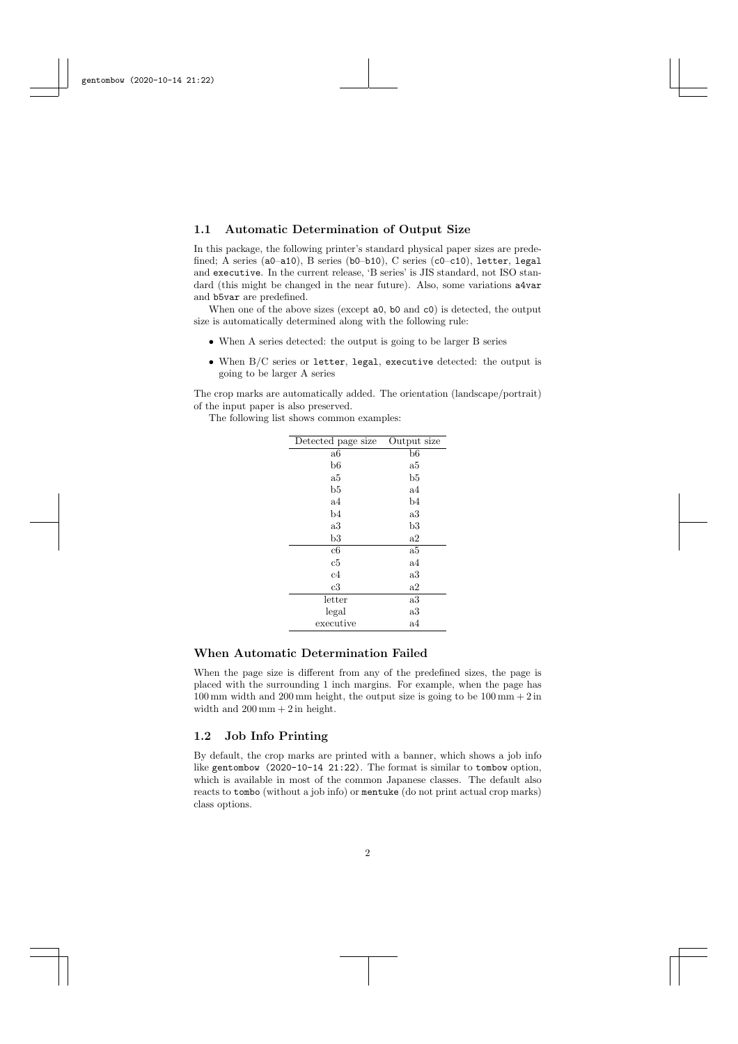#### 1.1 Automatic Determination of Output Size

In this package, the following printer's standard physical paper sizes are predefined; A series (a0-a10), B series (b0-b10), C series (c0-c10), letter, legal and executive. In the current release, 'B series' is JIS standard, not ISO standard (this might be changed in the near future). Also, some variations a4var and b5var are predefined.

When one of the above sizes (except  $a0$ ,  $b0$  and  $c0$ ) is detected, the output size is automatically determined along with the following rule:

- When A series detected: the output is going to be larger B series
- When B/C series or letter, legal, executive detected: the output is going to be larger A series

The crop marks are automatically added. The orientation (landscape/portrait) of the input paper is also preserved.

The following list shows common examples:

| Detected page size | Output size |
|--------------------|-------------|
| a6                 | $_{\rm b6}$ |
| b6                 | a5          |
| a5                 | $_{\rm b5}$ |
| $_{\rm b5}$        | $^{\rm a4}$ |
| a4                 | b4          |
| b4                 | a3          |
| a3                 | b3          |
| $^{\rm b3}$        | a2          |
| c6                 | a5          |
| c5                 | $^{\rm a4}$ |
| c4                 | $^{\rm a3}$ |
| c3                 | $\rm{a2}$   |
| letter             | a3          |
| legal              | a3          |
| executive          | a4          |

#### When Automatic Determination Failed

When the page size is different from any of the predefined sizes, the page is placed with the surrounding 1 inch margins. For example, when the page has  $100\,\mathrm{mm}$  width and  $200\,\mathrm{mm}$  height, the output size is going to be  $100\,\mathrm{mm}+2\,\mathrm{in}$ width and  $200\,\mathrm{mm} + 2\,\mathrm{in}$  height.

#### 1.2 Job Info Printing

By default, the crop marks are printed with a banner, which shows a job info like gentombow (2020-10-14 21:22). The format is similar to tombow option, which is available in most of the common Japanese classes. The default also reacts to tombo (without a job info) or mentuke (do not print actual crop marks) class options.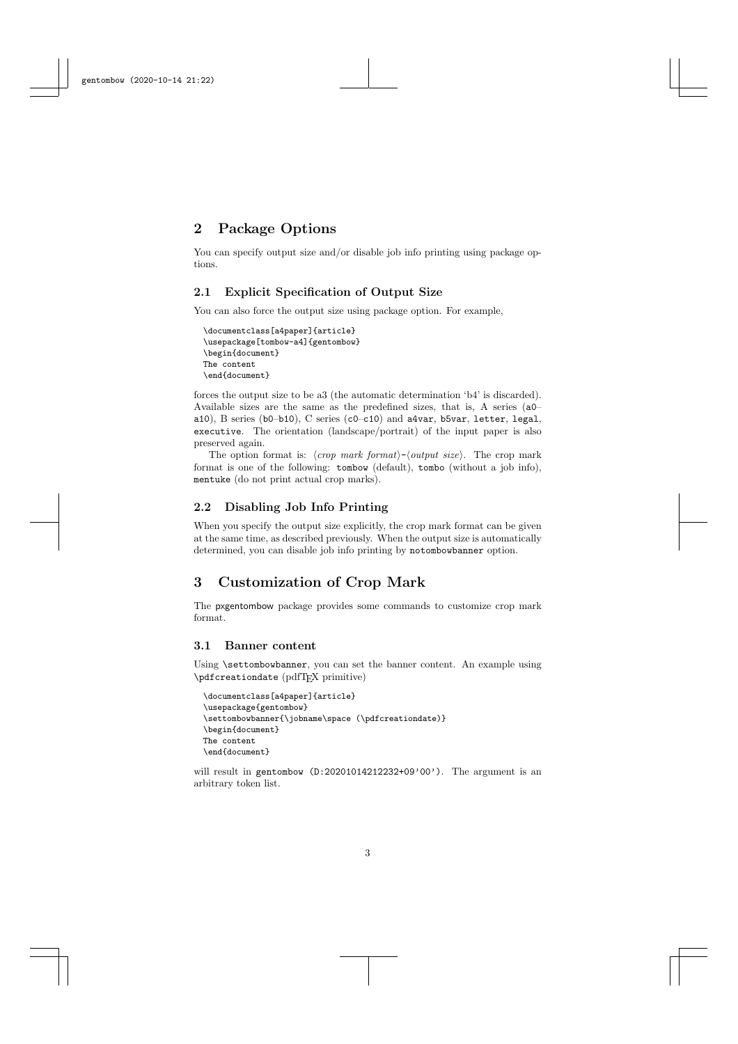# 2 Package Options

You can specify output size and/or disable job info printing using package options.

## 2.1 Explicit Specification of Output Size

You can also force the output size using package option. For example,

```
\documentclass[a4paper]{article}
\usepackage[tombow-a4]{gentombow}
\begin{document}
The content
\end{document}
```
forces the output size to be a3 (the automatic determination 'b4' is discarded). Available sizes are the same as the predefined sizes, that is, A series (a0– a10), B series (b0–b10), C series (c0–c10) and a4var, b5var, letter, legal, executive. The orientation (landscape/portrait) of the input paper is also preserved again.

The option format is:  $\langle crop \text{ mark } format \rangle - \langle output \text{ size} \rangle$ . The crop mark format is one of the following: tombow (default), tombo (without a job info), mentuke (do not print actual crop marks).

#### 2.2 Disabling Job Info Printing

When you specify the output size explicitly, the crop mark format can be given at the same time, as described previously. When the output size is automatically determined, you can disable job info printing by notombowbanner option.

# 3 Customization of Crop Mark

The pxgentombow package provides some commands to customize crop mark format.

#### 3.1 Banner content

Using **\settombowbanner**, you can set the banner content. An example using \pdfcreationdate (pdfTEX primitive)

```
\documentclass[a4paper]{article}
\usepackage{gentombow}
\settombowbanner{\jobname\space (\pdfcreationdate)}
\begin{document}
The content
\end{document}
```
will result in gentombow (D:20201014212232+09'00'). The argument is an arbitrary token list.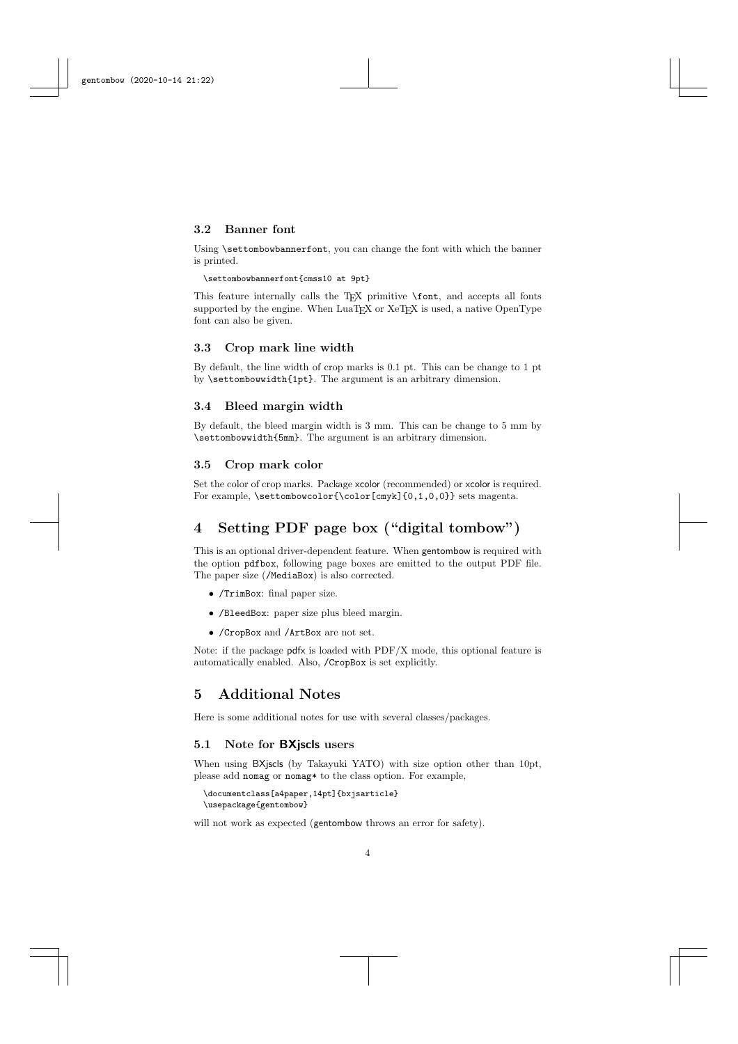#### 3.2 Banner font

Using \settombowbannerfont, you can change the font with which the banner is printed.

#### \settombowbannerfont{cmss10 at 9pt}

This feature internally calls the T<sub>E</sub>X primitive **\font**, and accepts all fonts supported by the engine. When LuaT<sub>E</sub>X or XeT<sub>E</sub>X is used, a native OpenType font can also be given.

## 3.3 Crop mark line width

By default, the line width of crop marks is 0.1 pt. This can be change to 1 pt by \settombowwidth{1pt}. The argument is an arbitrary dimension.

#### 3.4 Bleed margin width

By default, the bleed margin width is 3 mm. This can be change to 5 mm by \settombowwidth{5mm}. The argument is an arbitrary dimension.

#### 3.5 Crop mark color

Set the color of crop marks. Package xcolor (recommended) or xcolor is required. For example, \settombowcolor{\color[cmyk]{0,1,0,0}} sets magenta.

# 4 Setting PDF page box ("digital tombow")

This is an optional driver-dependent feature. When gentombow is required with the option pdfbox, following page boxes are emitted to the output PDF file. The paper size (/MediaBox) is also corrected.

- /TrimBox: final paper size.
- /BleedBox: paper size plus bleed margin.
- /CropBox and /ArtBox are not set.

Note: if the package pdfx is loaded with PDF/X mode, this optional feature is automatically enabled. Also, /CropBox is set explicitly.

## 5 Additional Notes

Here is some additional notes for use with several classes/packages.

#### 5.1 Note for BXjscls users

When using BXjscls (by Takayuki YATO) with size option other than 10pt, please add nomag or nomag\* to the class option. For example,

```
\documentclass[a4paper,14pt]{bxjsarticle}
\usepackage{gentombow}
```
will not work as expected (gentombow throws an error for safety).